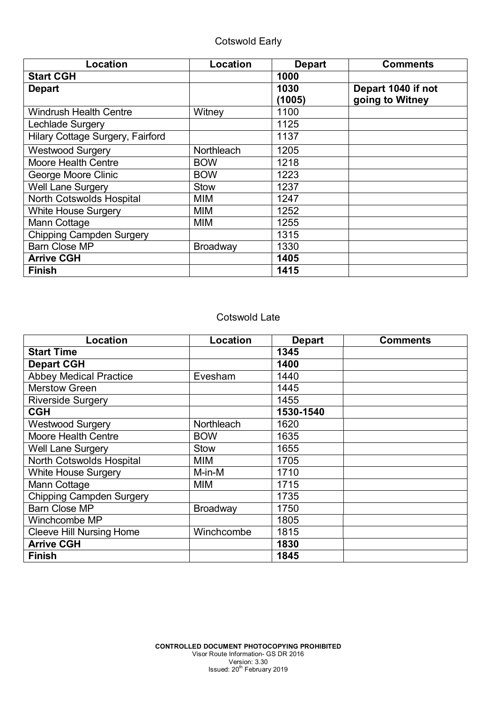| Location                         | Location        | <b>Depart</b> | <b>Comments</b>    |
|----------------------------------|-----------------|---------------|--------------------|
| <b>Start CGH</b>                 |                 | 1000          |                    |
| <b>Depart</b>                    |                 | 1030          | Depart 1040 if not |
|                                  |                 | (1005)        | going to Witney    |
| <b>Windrush Health Centre</b>    | Witney          | 1100          |                    |
| Lechlade Surgery                 |                 | 1125          |                    |
| Hilary Cottage Surgery, Fairford |                 | 1137          |                    |
| <b>Westwood Surgery</b>          | Northleach      | 1205          |                    |
| <b>Moore Health Centre</b>       | <b>BOW</b>      | 1218          |                    |
| George Moore Clinic              | <b>BOW</b>      | 1223          |                    |
| <b>Well Lane Surgery</b>         | <b>Stow</b>     | 1237          |                    |
| North Cotswolds Hospital         | MIM             | 1247          |                    |
| <b>White House Surgery</b>       | MIM             | 1252          |                    |
| Mann Cottage                     | MIM             | 1255          |                    |
| <b>Chipping Campden Surgery</b>  |                 | 1315          |                    |
| <b>Barn Close MP</b>             | <b>Broadway</b> | 1330          |                    |
| <b>Arrive CGH</b>                |                 | 1405          |                    |
| <b>Finish</b>                    |                 | 1415          |                    |

### Cotswold Late

| Location                        | Location          | <b>Depart</b> | <b>Comments</b> |
|---------------------------------|-------------------|---------------|-----------------|
| <b>Start Time</b>               |                   | 1345          |                 |
| <b>Depart CGH</b>               |                   | 1400          |                 |
| <b>Abbey Medical Practice</b>   | Evesham           | 1440          |                 |
| <b>Merstow Green</b>            |                   | 1445          |                 |
| <b>Riverside Surgery</b>        |                   | 1455          |                 |
| <b>CGH</b>                      |                   | 1530-1540     |                 |
| <b>Westwood Surgery</b>         | <b>Northleach</b> | 1620          |                 |
| <b>Moore Health Centre</b>      | <b>BOW</b>        | 1635          |                 |
| <b>Well Lane Surgery</b>        | <b>Stow</b>       | 1655          |                 |
| North Cotswolds Hospital        | MIM               | 1705          |                 |
| White House Surgery             | M-in-M            | 1710          |                 |
| Mann Cottage                    | <b>MIM</b>        | 1715          |                 |
| <b>Chipping Campden Surgery</b> |                   | 1735          |                 |
| <b>Barn Close MP</b>            | Broadway          | 1750          |                 |
| Winchcombe MP                   |                   | 1805          |                 |
| <b>Cleeve Hill Nursing Home</b> | Winchcombe        | 1815          |                 |
| <b>Arrive CGH</b>               |                   | 1830          |                 |
| <b>Finish</b>                   |                   | 1845          |                 |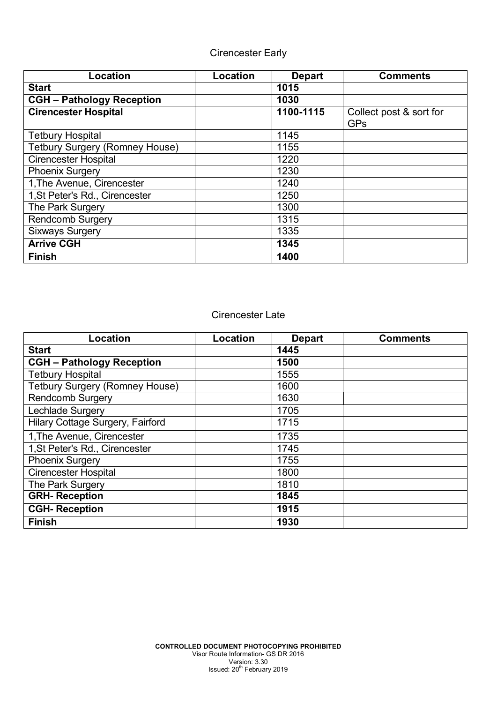## Cirencester Early

| Location                              | Location | <b>Depart</b> | <b>Comments</b>                       |
|---------------------------------------|----------|---------------|---------------------------------------|
| <b>Start</b>                          |          | 1015          |                                       |
| <b>CGH - Pathology Reception</b>      |          | 1030          |                                       |
| <b>Cirencester Hospital</b>           |          | 1100-1115     | Collect post & sort for<br><b>GPs</b> |
| <b>Tetbury Hospital</b>               |          | 1145          |                                       |
| <b>Tetbury Surgery (Romney House)</b> |          | 1155          |                                       |
| <b>Cirencester Hospital</b>           |          | 1220          |                                       |
| <b>Phoenix Surgery</b>                |          | 1230          |                                       |
| 1, The Avenue, Cirencester            |          | 1240          |                                       |
| 1, St Peter's Rd., Cirencester        |          | 1250          |                                       |
| The Park Surgery                      |          | 1300          |                                       |
| <b>Rendcomb Surgery</b>               |          | 1315          |                                       |
| <b>Sixways Surgery</b>                |          | 1335          |                                       |
| <b>Arrive CGH</b>                     |          | 1345          |                                       |
| <b>Finish</b>                         |          | 1400          |                                       |

#### Cirencester Late

| Location                              | Location | <b>Depart</b> | <b>Comments</b> |
|---------------------------------------|----------|---------------|-----------------|
| <b>Start</b>                          |          | 1445          |                 |
| <b>CGH - Pathology Reception</b>      |          | 1500          |                 |
| <b>Tetbury Hospital</b>               |          | 1555          |                 |
| <b>Tetbury Surgery (Romney House)</b> |          | 1600          |                 |
| <b>Rendcomb Surgery</b>               |          | 1630          |                 |
| Lechlade Surgery                      |          | 1705          |                 |
| Hilary Cottage Surgery, Fairford      |          | 1715          |                 |
| 1, The Avenue, Cirencester            |          | 1735          |                 |
| 1, St Peter's Rd., Cirencester        |          | 1745          |                 |
| <b>Phoenix Surgery</b>                |          | 1755          |                 |
| <b>Cirencester Hospital</b>           |          | 1800          |                 |
| The Park Surgery                      |          | 1810          |                 |
| <b>GRH-Reception</b>                  |          | 1845          |                 |
| <b>CGH-Reception</b>                  |          | 1915          |                 |
| <b>Finish</b>                         |          | 1930          |                 |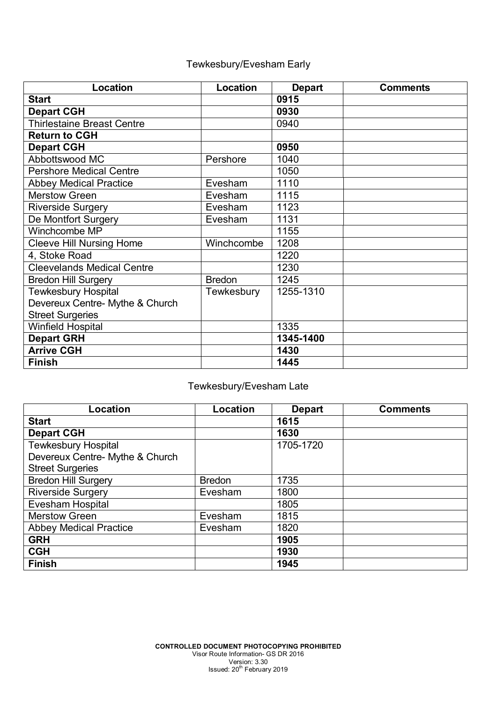# Tewkesbury/Evesham Early

| Location                          | Location      | <b>Depart</b> | <b>Comments</b> |
|-----------------------------------|---------------|---------------|-----------------|
| <b>Start</b>                      |               | 0915          |                 |
| <b>Depart CGH</b>                 |               | 0930          |                 |
| <b>Thirlestaine Breast Centre</b> |               | 0940          |                 |
| <b>Return to CGH</b>              |               |               |                 |
| <b>Depart CGH</b>                 |               | 0950          |                 |
| Abbottswood MC                    | Pershore      | 1040          |                 |
| <b>Pershore Medical Centre</b>    |               | 1050          |                 |
| <b>Abbey Medical Practice</b>     | Evesham       | 1110          |                 |
| <b>Merstow Green</b>              | Evesham       | 1115          |                 |
| <b>Riverside Surgery</b>          | Evesham       | 1123          |                 |
| De Montfort Surgery               | Evesham       | 1131          |                 |
| Winchcombe MP                     |               | 1155          |                 |
| <b>Cleeve Hill Nursing Home</b>   | Winchcombe    | 1208          |                 |
| 4, Stoke Road                     |               | 1220          |                 |
| <b>Cleevelands Medical Centre</b> |               | 1230          |                 |
| <b>Bredon Hill Surgery</b>        | <b>Bredon</b> | 1245          |                 |
| <b>Tewkesbury Hospital</b>        | Tewkesbury    | 1255-1310     |                 |
| Devereux Centre- Mythe & Church   |               |               |                 |
| <b>Street Surgeries</b>           |               |               |                 |
| <b>Winfield Hospital</b>          |               | 1335          |                 |
| <b>Depart GRH</b>                 |               | 1345-1400     |                 |
| <b>Arrive CGH</b>                 |               | 1430          |                 |
| <b>Finish</b>                     |               | 1445          |                 |

# Tewkesbury/Evesham Late

| Location                        | Location      | <b>Depart</b> | <b>Comments</b> |
|---------------------------------|---------------|---------------|-----------------|
| <b>Start</b>                    |               | 1615          |                 |
| <b>Depart CGH</b>               |               | 1630          |                 |
| <b>Tewkesbury Hospital</b>      |               | 1705-1720     |                 |
| Devereux Centre- Mythe & Church |               |               |                 |
| <b>Street Surgeries</b>         |               |               |                 |
| <b>Bredon Hill Surgery</b>      | <b>Bredon</b> | 1735          |                 |
| <b>Riverside Surgery</b>        | Evesham       | 1800          |                 |
| Evesham Hospital                |               | 1805          |                 |
| <b>Merstow Green</b>            | Evesham       | 1815          |                 |
| <b>Abbey Medical Practice</b>   | Evesham       | 1820          |                 |
| <b>GRH</b>                      |               | 1905          |                 |
| <b>CGH</b>                      |               | 1930          |                 |
| <b>Finish</b>                   |               | 1945          |                 |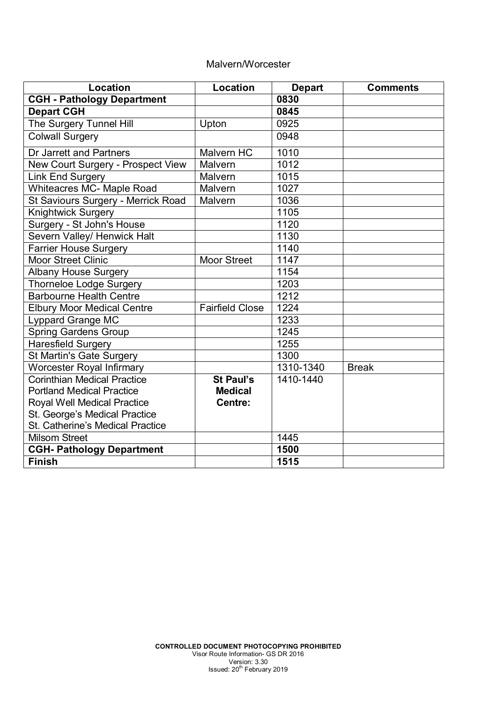#### Malvern/Worcester

| Location                           | Location               | <b>Depart</b> | <b>Comments</b> |
|------------------------------------|------------------------|---------------|-----------------|
| <b>CGH - Pathology Department</b>  |                        | 0830          |                 |
| <b>Depart CGH</b>                  |                        | 0845          |                 |
| The Surgery Tunnel Hill            | Upton                  | 0925          |                 |
| <b>Colwall Surgery</b>             |                        | 0948          |                 |
| Dr Jarrett and Partners            | <b>Malvern HC</b>      | 1010          |                 |
| New Court Surgery - Prospect View  | Malvern                | 1012          |                 |
| <b>Link End Surgery</b>            | Malvern                | 1015          |                 |
| <b>Whiteacres MC- Maple Road</b>   | Malvern                | 1027          |                 |
| St Saviours Surgery - Merrick Road | Malvern                | 1036          |                 |
| <b>Knightwick Surgery</b>          |                        | 1105          |                 |
| Surgery - St John's House          |                        | 1120          |                 |
| Severn Valley/ Henwick Halt        |                        | 1130          |                 |
| <b>Farrier House Surgery</b>       |                        | 1140          |                 |
| <b>Moor Street Clinic</b>          | <b>Moor Street</b>     | 1147          |                 |
| <b>Albany House Surgery</b>        |                        | 1154          |                 |
| <b>Thorneloe Lodge Surgery</b>     |                        | 1203          |                 |
| <b>Barbourne Health Centre</b>     |                        | 1212          |                 |
| <b>Elbury Moor Medical Centre</b>  | <b>Fairfield Close</b> | 1224          |                 |
| <b>Lyppard Grange MC</b>           |                        | 1233          |                 |
| <b>Spring Gardens Group</b>        |                        | 1245          |                 |
| <b>Haresfield Surgery</b>          |                        | 1255          |                 |
| <b>St Martin's Gate Surgery</b>    |                        | 1300          |                 |
| Worcester Royal Infirmary          |                        | 1310-1340     | <b>Break</b>    |
| <b>Corinthian Medical Practice</b> | <b>St Paul's</b>       | 1410-1440     |                 |
| <b>Portland Medical Practice</b>   | <b>Medical</b>         |               |                 |
| Royal Well Medical Practice        | Centre:                |               |                 |
| St. George's Medical Practice      |                        |               |                 |
| St. Catherine's Medical Practice   |                        |               |                 |
| <b>Milsom Street</b>               |                        | 1445          |                 |
| <b>CGH- Pathology Department</b>   |                        | 1500          |                 |
| <b>Finish</b>                      |                        | 1515          |                 |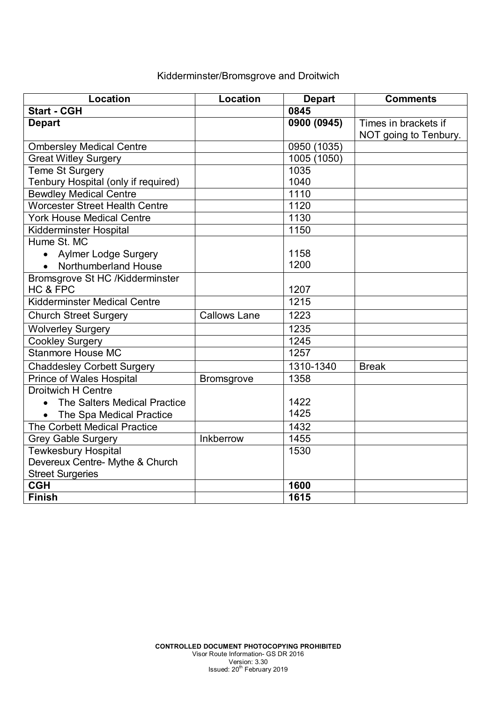## Kidderminster/Bromsgrove and Droitwich

| Location                                  | Location            | <b>Depart</b> | <b>Comments</b>       |
|-------------------------------------------|---------------------|---------------|-----------------------|
| <b>Start - CGH</b>                        |                     | 0845          |                       |
| <b>Depart</b>                             |                     | 0900 (0945)   | Times in brackets if  |
|                                           |                     |               | NOT going to Tenbury. |
| <b>Ombersley Medical Centre</b>           |                     | 0950 (1035)   |                       |
| <b>Great Witley Surgery</b>               |                     | 1005 (1050)   |                       |
| <b>Teme St Surgery</b>                    |                     | 1035          |                       |
| Tenbury Hospital (only if required)       |                     | 1040          |                       |
| <b>Bewdley Medical Centre</b>             |                     | 1110          |                       |
| <b>Worcester Street Health Centre</b>     |                     | 1120          |                       |
| <b>York House Medical Centre</b>          |                     | 1130          |                       |
| <b>Kidderminster Hospital</b>             |                     | 1150          |                       |
| Hume St. MC                               |                     |               |                       |
| • Aylmer Lodge Surgery                    |                     | 1158          |                       |
| • Northumberland House                    |                     | 1200          |                       |
| Bromsgrove St HC /Kidderminster           |                     |               |                       |
| HC & FPC                                  |                     | 1207          |                       |
| <b>Kidderminster Medical Centre</b>       |                     | 1215          |                       |
| <b>Church Street Surgery</b>              | <b>Callows Lane</b> | 1223          |                       |
| <b>Wolverley Surgery</b>                  |                     | 1235          |                       |
| <b>Cookley Surgery</b>                    |                     | 1245          |                       |
| <b>Stanmore House MC</b>                  |                     | 1257          |                       |
| <b>Chaddesley Corbett Surgery</b>         |                     | 1310-1340     | <b>Break</b>          |
| <b>Prince of Wales Hospital</b>           | <b>Bromsgrove</b>   | 1358          |                       |
| <b>Droitwich H Centre</b>                 |                     |               |                       |
| The Salters Medical Practice<br>$\bullet$ |                     | 1422          |                       |
| • The Spa Medical Practice                |                     | 1425          |                       |
| The Corbett Medical Practice              |                     | 1432          |                       |
| <b>Grey Gable Surgery</b>                 | Inkberrow           | 1455          |                       |
| <b>Tewkesbury Hospital</b>                |                     | 1530          |                       |
| Devereux Centre- Mythe & Church           |                     |               |                       |
| <b>Street Surgeries</b>                   |                     |               |                       |
| CGH                                       |                     | 1600          |                       |
| <b>Finish</b>                             |                     | 1615          |                       |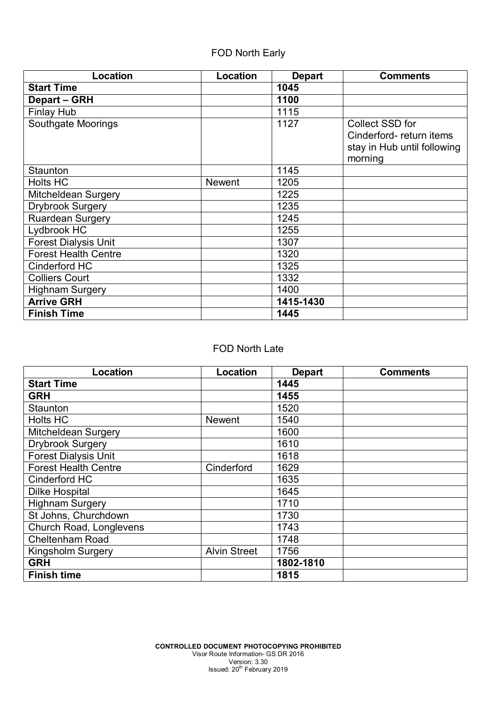## FOD North Early

| Location                    | Location      | <b>Depart</b> | <b>Comments</b>                            |
|-----------------------------|---------------|---------------|--------------------------------------------|
| <b>Start Time</b>           |               | 1045          |                                            |
| <b>Depart - GRH</b>         |               | 1100          |                                            |
| <b>Finlay Hub</b>           |               | 1115          |                                            |
| <b>Southgate Moorings</b>   |               | 1127          | Collect SSD for<br>Cinderford-return items |
|                             |               |               | stay in Hub until following                |
|                             |               |               | morning                                    |
| Staunton                    |               | 1145          |                                            |
| <b>Holts HC</b>             | <b>Newent</b> | 1205          |                                            |
| Mitcheldean Surgery         |               | 1225          |                                            |
| <b>Drybrook Surgery</b>     |               | 1235          |                                            |
| <b>Ruardean Surgery</b>     |               | 1245          |                                            |
| Lydbrook HC                 |               | 1255          |                                            |
| <b>Forest Dialysis Unit</b> |               | 1307          |                                            |
| <b>Forest Health Centre</b> |               | 1320          |                                            |
| Cinderford HC               |               | 1325          |                                            |
| <b>Colliers Court</b>       |               | 1332          |                                            |
| <b>Highnam Surgery</b>      |               | 1400          |                                            |
| <b>Arrive GRH</b>           |               | 1415-1430     |                                            |
| <b>Finish Time</b>          |               | 1445          |                                            |

#### FOD North Late

| Location                    | Location            | <b>Depart</b> | <b>Comments</b> |
|-----------------------------|---------------------|---------------|-----------------|
| <b>Start Time</b>           |                     | 1445          |                 |
| <b>GRH</b>                  |                     | 1455          |                 |
| Staunton                    |                     | 1520          |                 |
| <b>Holts HC</b>             | <b>Newent</b>       | 1540          |                 |
| Mitcheldean Surgery         |                     | 1600          |                 |
| <b>Drybrook Surgery</b>     |                     | 1610          |                 |
| <b>Forest Dialysis Unit</b> |                     | 1618          |                 |
| <b>Forest Health Centre</b> | Cinderford          | 1629          |                 |
| Cinderford HC               |                     | 1635          |                 |
| <b>Dilke Hospital</b>       |                     | 1645          |                 |
| <b>Highnam Surgery</b>      |                     | 1710          |                 |
| St Johns, Churchdown        |                     | 1730          |                 |
| Church Road, Longlevens     |                     | 1743          |                 |
| <b>Cheltenham Road</b>      |                     | 1748          |                 |
| <b>Kingsholm Surgery</b>    | <b>Alvin Street</b> | 1756          |                 |
| <b>GRH</b>                  |                     | 1802-1810     |                 |
| <b>Finish time</b>          |                     | 1815          |                 |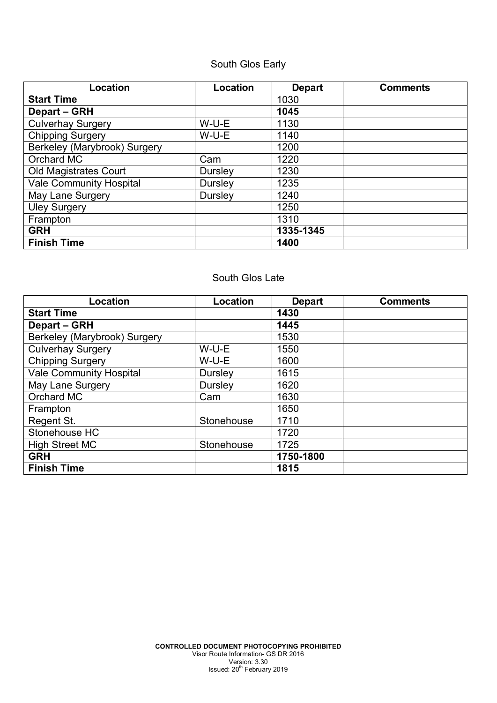# South Glos Early

| Location                       | Location       | <b>Depart</b> | <b>Comments</b> |
|--------------------------------|----------------|---------------|-----------------|
| <b>Start Time</b>              |                | 1030          |                 |
| Depart - GRH                   |                | 1045          |                 |
| <b>Culverhay Surgery</b>       | W-U-E          | 1130          |                 |
| <b>Chipping Surgery</b>        | W-U-E          | 1140          |                 |
| Berkeley (Marybrook) Surgery   |                | 1200          |                 |
| Orchard MC                     | Cam            | 1220          |                 |
| <b>Old Magistrates Court</b>   | Dursley        | 1230          |                 |
| <b>Vale Community Hospital</b> | <b>Dursley</b> | 1235          |                 |
| May Lane Surgery               | Dursley        | 1240          |                 |
| <b>Uley Surgery</b>            |                | 1250          |                 |
| Frampton                       |                | 1310          |                 |
| <b>GRH</b>                     |                | 1335-1345     |                 |
| <b>Finish Time</b>             |                | 1400          |                 |

#### South Glos Late

| Location                       | Location       | <b>Depart</b> | <b>Comments</b> |
|--------------------------------|----------------|---------------|-----------------|
| <b>Start Time</b>              |                | 1430          |                 |
| Depart - GRH                   |                | 1445          |                 |
| Berkeley (Marybrook) Surgery   |                | 1530          |                 |
| Culverhay Surgery              | W-U-E          | 1550          |                 |
| <b>Chipping Surgery</b>        | W-U-E          | 1600          |                 |
| <b>Vale Community Hospital</b> | <b>Dursley</b> | 1615          |                 |
| May Lane Surgery               | Dursley        | 1620          |                 |
| Orchard MC                     | Cam            | 1630          |                 |
| Frampton                       |                | 1650          |                 |
| Regent St.                     | Stonehouse     | 1710          |                 |
| Stonehouse HC                  |                | 1720          |                 |
| <b>High Street MC</b>          | Stonehouse     | 1725          |                 |
| <b>GRH</b>                     |                | 1750-1800     |                 |
| <b>Finish Time</b>             |                | 1815          |                 |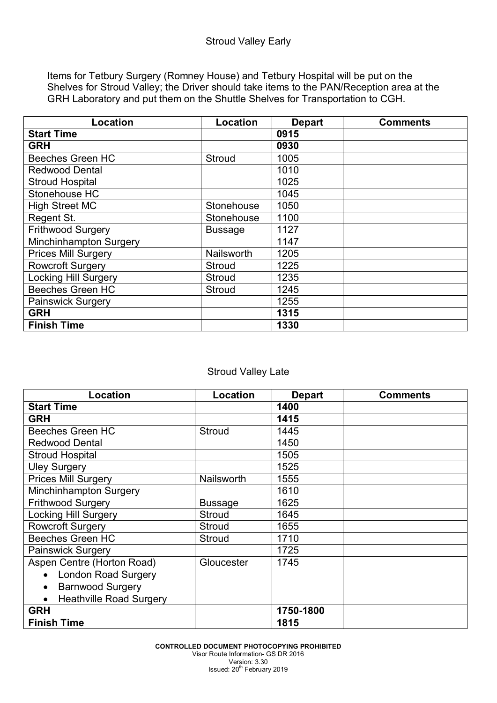Items for Tetbury Surgery (Romney House) and Tetbury Hospital will be put on the Shelves for Stroud Valley; the Driver should take items to the PAN/Reception area at the GRH Laboratory and put them on the Shuttle Shelves for Transportation to CGH.

| Location                    | Location       | <b>Depart</b> | <b>Comments</b> |
|-----------------------------|----------------|---------------|-----------------|
| <b>Start Time</b>           |                | 0915          |                 |
| <b>GRH</b>                  |                | 0930          |                 |
| <b>Beeches Green HC</b>     | Stroud         | 1005          |                 |
| <b>Redwood Dental</b>       |                | 1010          |                 |
| <b>Stroud Hospital</b>      |                | 1025          |                 |
| Stonehouse HC               |                | 1045          |                 |
| <b>High Street MC</b>       | Stonehouse     | 1050          |                 |
| Regent St.                  | Stonehouse     | 1100          |                 |
| Frithwood Surgery           | <b>Bussage</b> | 1127          |                 |
| Minchinhampton Surgery      |                | 1147          |                 |
| <b>Prices Mill Surgery</b>  | Nailsworth     | 1205          |                 |
| Rowcroft Surgery            | Stroud         | 1225          |                 |
| <b>Locking Hill Surgery</b> | Stroud         | 1235          |                 |
| <b>Beeches Green HC</b>     | Stroud         | 1245          |                 |
| <b>Painswick Surgery</b>    |                | 1255          |                 |
| <b>GRH</b>                  |                | 1315          |                 |
| <b>Finish Time</b>          |                | 1330          |                 |

### Stroud Valley Late

| Location                                    | Location       | <b>Depart</b> | <b>Comments</b> |
|---------------------------------------------|----------------|---------------|-----------------|
| <b>Start Time</b>                           |                | 1400          |                 |
| <b>GRH</b>                                  |                | 1415          |                 |
| <b>Beeches Green HC</b>                     | Stroud         | 1445          |                 |
| <b>Redwood Dental</b>                       |                | 1450          |                 |
| <b>Stroud Hospital</b>                      |                | 1505          |                 |
| <b>Uley Surgery</b>                         |                | 1525          |                 |
| <b>Prices Mill Surgery</b>                  | Nailsworth     | 1555          |                 |
| Minchinhampton Surgery                      |                | 1610          |                 |
| <b>Frithwood Surgery</b>                    | <b>Bussage</b> | 1625          |                 |
| <b>Locking Hill Surgery</b>                 | Stroud         | 1645          |                 |
| <b>Rowcroft Surgery</b>                     | <b>Stroud</b>  | 1655          |                 |
| <b>Beeches Green HC</b>                     | <b>Stroud</b>  | 1710          |                 |
| <b>Painswick Surgery</b>                    |                | 1725          |                 |
| Aspen Centre (Horton Road)                  | Gloucester     | 1745          |                 |
| <b>London Road Surgery</b><br>$\bullet$     |                |               |                 |
| <b>Barnwood Surgery</b><br>$\bullet$        |                |               |                 |
| <b>Heathville Road Surgery</b><br>$\bullet$ |                |               |                 |
| <b>GRH</b>                                  |                | 1750-1800     |                 |
| <b>Finish Time</b>                          |                | 1815          |                 |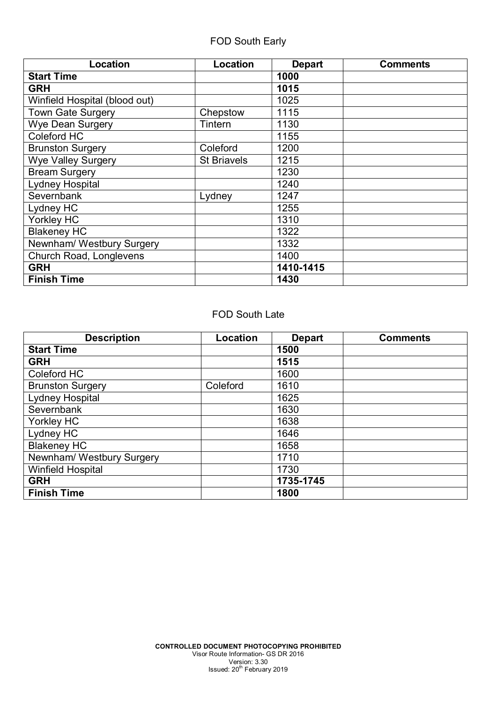| Location                      | Location           | <b>Depart</b> | <b>Comments</b> |
|-------------------------------|--------------------|---------------|-----------------|
| <b>Start Time</b>             |                    | 1000          |                 |
| <b>GRH</b>                    |                    | 1015          |                 |
| Winfield Hospital (blood out) |                    | 1025          |                 |
| Town Gate Surgery             | Chepstow           | 1115          |                 |
| <b>Wye Dean Surgery</b>       | Tintern            | 1130          |                 |
| Coleford HC                   |                    | 1155          |                 |
| <b>Brunston Surgery</b>       | Coleford           | 1200          |                 |
| <b>Wye Valley Surgery</b>     | <b>St Briavels</b> | 1215          |                 |
| <b>Bream Surgery</b>          |                    | 1230          |                 |
| Lydney Hospital               |                    | 1240          |                 |
| Severnbank                    | Lydney             | 1247          |                 |
| Lydney HC                     |                    | 1255          |                 |
| Yorkley HC                    |                    | 1310          |                 |
| <b>Blakeney HC</b>            |                    | 1322          |                 |
| Newnham/ Westbury Surgery     |                    | 1332          |                 |
| Church Road, Longlevens       |                    | 1400          |                 |
| <b>GRH</b>                    |                    | 1410-1415     |                 |
| <b>Finish Time</b>            |                    | 1430          |                 |

#### FOD South Late

| <b>Description</b>        | Location | <b>Depart</b> | <b>Comments</b> |
|---------------------------|----------|---------------|-----------------|
| <b>Start Time</b>         |          | 1500          |                 |
| <b>GRH</b>                |          | 1515          |                 |
| Coleford HC               |          | 1600          |                 |
| <b>Brunston Surgery</b>   | Coleford | 1610          |                 |
| Lydney Hospital           |          | 1625          |                 |
| Severnbank                |          | 1630          |                 |
| Yorkley HC                |          | 1638          |                 |
| Lydney HC                 |          | 1646          |                 |
| <b>Blakeney HC</b>        |          | 1658          |                 |
| Newnham/ Westbury Surgery |          | 1710          |                 |
| <b>Winfield Hospital</b>  |          | 1730          |                 |
| <b>GRH</b>                |          | 1735-1745     |                 |
| <b>Finish Time</b>        |          | 1800          |                 |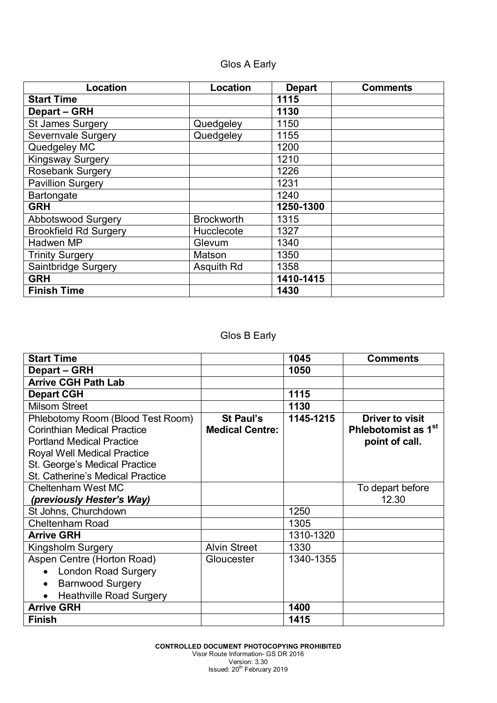# Glos A Early

| <b>Location</b>              | Location          | <b>Depart</b> | <b>Comments</b> |
|------------------------------|-------------------|---------------|-----------------|
| <b>Start Time</b>            |                   | 1115          |                 |
| Depart - GRH                 |                   | 1130          |                 |
| <b>St James Surgery</b>      | Quedgeley         | 1150          |                 |
| Severnvale Surgery           | Quedgeley         | 1155          |                 |
| Quedgeley MC                 |                   | 1200          |                 |
| <b>Kingsway Surgery</b>      |                   | 1210          |                 |
| <b>Rosebank Surgery</b>      |                   | 1226          |                 |
| <b>Pavillion Surgery</b>     |                   | 1231          |                 |
| Bartongate                   |                   | 1240          |                 |
| <b>GRH</b>                   |                   | 1250-1300     |                 |
| <b>Abbotswood Surgery</b>    | <b>Brockworth</b> | 1315          |                 |
| <b>Brookfield Rd Surgery</b> | Hucclecote        | 1327          |                 |
| Hadwen MP                    | Glevum            | 1340          |                 |
| <b>Trinity Surgery</b>       | Matson            | 1350          |                 |
| Saintbridge Surgery          | Asquith Rd        | 1358          |                 |
| <b>GRH</b>                   |                   | 1410-1415     |                 |
| <b>Finish Time</b>           |                   | 1430          |                 |

# Glos B Early

| <b>Start Time</b>                                                                                                                                                                                                      |                                            | 1045      | <b>Comments</b>                                                             |
|------------------------------------------------------------------------------------------------------------------------------------------------------------------------------------------------------------------------|--------------------------------------------|-----------|-----------------------------------------------------------------------------|
| Depart – GRH                                                                                                                                                                                                           |                                            | 1050      |                                                                             |
| <b>Arrive CGH Path Lab</b>                                                                                                                                                                                             |                                            |           |                                                                             |
| <b>Depart CGH</b>                                                                                                                                                                                                      |                                            | 1115      |                                                                             |
| <b>Milsom Street</b>                                                                                                                                                                                                   |                                            | 1130      |                                                                             |
| Phlebotomy Room (Blood Test Room)<br><b>Corinthian Medical Practice</b><br><b>Portland Medical Practice</b><br>Royal Well Medical Practice<br>St. George's Medical Practice<br><b>St. Catherine's Medical Practice</b> | <b>St Paul's</b><br><b>Medical Centre:</b> | 1145-1215 | <b>Driver to visit</b><br>Phlebotomist as 1 <sup>st</sup><br>point of call. |
| Cheltenham West MC<br>(previously Hester's Way)                                                                                                                                                                        |                                            |           | To depart before<br>12.30                                                   |
| St Johns, Churchdown                                                                                                                                                                                                   |                                            | 1250      |                                                                             |
| <b>Cheltenham Road</b>                                                                                                                                                                                                 |                                            | 1305      |                                                                             |
| <b>Arrive GRH</b>                                                                                                                                                                                                      |                                            | 1310-1320 |                                                                             |
| Kingsholm Surgery                                                                                                                                                                                                      | <b>Alvin Street</b>                        | 1330      |                                                                             |
| Aspen Centre (Horton Road)<br><b>London Road Surgery</b><br>$\bullet$<br><b>Barnwood Surgery</b><br>$\bullet$<br><b>Heathville Road Surgery</b>                                                                        | Gloucester                                 | 1340-1355 |                                                                             |
| <b>Arrive GRH</b>                                                                                                                                                                                                      |                                            | 1400      |                                                                             |
| <b>Finish</b>                                                                                                                                                                                                          |                                            | 1415      |                                                                             |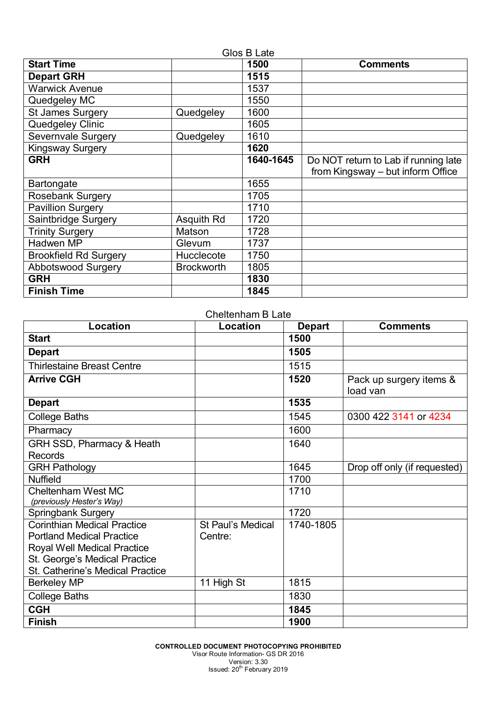| Glos B Late                  |                   |           |                                                                           |
|------------------------------|-------------------|-----------|---------------------------------------------------------------------------|
| <b>Start Time</b>            |                   | 1500      | <b>Comments</b>                                                           |
| <b>Depart GRH</b>            |                   | 1515      |                                                                           |
| <b>Warwick Avenue</b>        |                   | 1537      |                                                                           |
| Quedgeley MC                 |                   | 1550      |                                                                           |
| <b>St James Surgery</b>      | Quedgeley         | 1600      |                                                                           |
| Quedgeley Clinic             |                   | 1605      |                                                                           |
| Severnvale Surgery           | Quedgeley         | 1610      |                                                                           |
| <b>Kingsway Surgery</b>      |                   | 1620      |                                                                           |
| <b>GRH</b>                   |                   | 1640-1645 | Do NOT return to Lab if running late<br>from Kingsway - but inform Office |
| Bartongate                   |                   | 1655      |                                                                           |
| Rosebank Surgery             |                   | 1705      |                                                                           |
| <b>Pavillion Surgery</b>     |                   | 1710      |                                                                           |
| Saintbridge Surgery          | Asquith Rd        | 1720      |                                                                           |
| <b>Trinity Surgery</b>       | Matson            | 1728      |                                                                           |
| Hadwen MP                    | Glevum            | 1737      |                                                                           |
| <b>Brookfield Rd Surgery</b> | Hucclecote        | 1750      |                                                                           |
| <b>Abbotswood Surgery</b>    | <b>Brockworth</b> | 1805      |                                                                           |
| <b>GRH</b>                   |                   | 1830      |                                                                           |
| <b>Finish Time</b>           |                   | 1845      |                                                                           |

Cheltenham B Late

| Location                                                                                                                                                                   | Location                     | <b>Depart</b> | <b>Comments</b>                     |
|----------------------------------------------------------------------------------------------------------------------------------------------------------------------------|------------------------------|---------------|-------------------------------------|
| <b>Start</b>                                                                                                                                                               |                              | 1500          |                                     |
| <b>Depart</b>                                                                                                                                                              |                              | 1505          |                                     |
| <b>Thirlestaine Breast Centre</b>                                                                                                                                          |                              | 1515          |                                     |
| <b>Arrive CGH</b>                                                                                                                                                          |                              | 1520          | Pack up surgery items &<br>load van |
| <b>Depart</b>                                                                                                                                                              |                              | 1535          |                                     |
| <b>College Baths</b>                                                                                                                                                       |                              | 1545          | 0300 422 3141 or 4234               |
| Pharmacy                                                                                                                                                                   |                              | 1600          |                                     |
| <b>GRH SSD, Pharmacy &amp; Heath</b>                                                                                                                                       |                              | 1640          |                                     |
| <b>Records</b>                                                                                                                                                             |                              |               |                                     |
| <b>GRH Pathology</b>                                                                                                                                                       |                              | 1645          | Drop off only (if requested)        |
| <b>Nuffield</b>                                                                                                                                                            |                              | 1700          |                                     |
| <b>Cheltenham West MC</b><br>(previously Hester's Way)                                                                                                                     |                              | 1710          |                                     |
| <b>Springbank Surgery</b>                                                                                                                                                  |                              | 1720          |                                     |
| <b>Corinthian Medical Practice</b><br><b>Portland Medical Practice</b><br>Royal Well Medical Practice<br>St. George's Medical Practice<br>St. Catherine's Medical Practice | St Paul's Medical<br>Centre: | 1740-1805     |                                     |
| <b>Berkeley MP</b>                                                                                                                                                         | 11 High St                   | 1815          |                                     |
| <b>College Baths</b>                                                                                                                                                       |                              | 1830          |                                     |
| <b>CGH</b>                                                                                                                                                                 |                              | 1845          |                                     |
| <b>Finish</b>                                                                                                                                                              |                              | 1900          |                                     |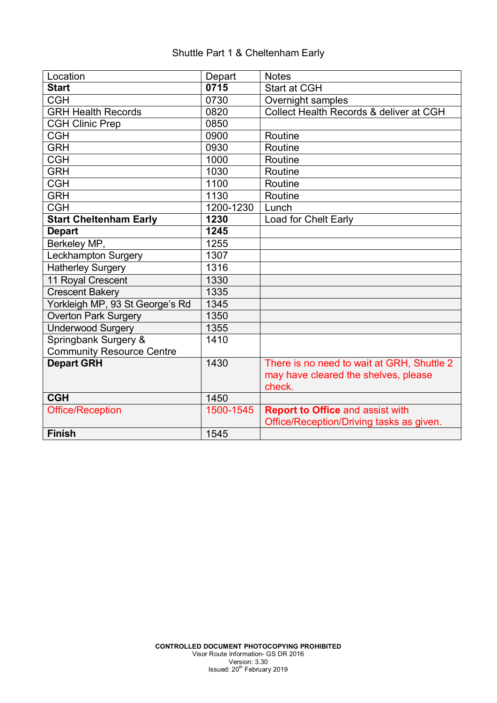## Shuttle Part 1 & Cheltenham Early

| Location                         | Depart    | <b>Notes</b>                               |
|----------------------------------|-----------|--------------------------------------------|
| <b>Start</b>                     | 0715      | <b>Start at CGH</b>                        |
| <b>CGH</b>                       | 0730      | Overnight samples                          |
| <b>GRH Health Records</b>        | 0820      | Collect Health Records & deliver at CGH    |
| <b>CGH Clinic Prep</b>           | 0850      |                                            |
| <b>CGH</b>                       | 0900      | Routine                                    |
| <b>GRH</b>                       | 0930      | Routine                                    |
| <b>CGH</b>                       | 1000      | Routine                                    |
| <b>GRH</b>                       | 1030      | Routine                                    |
| <b>CGH</b>                       | 1100      | Routine                                    |
| <b>GRH</b>                       | 1130      | Routine                                    |
| <b>CGH</b>                       | 1200-1230 | Lunch                                      |
| <b>Start Cheltenham Early</b>    | 1230      | Load for Chelt Early                       |
| <b>Depart</b>                    | 1245      |                                            |
| Berkeley MP,                     | 1255      |                                            |
| <b>Leckhampton Surgery</b>       | 1307      |                                            |
| Hatherley Surgery                | 1316      |                                            |
| 11 Royal Crescent                | 1330      |                                            |
| <b>Crescent Bakery</b>           | 1335      |                                            |
| Yorkleigh MP, 93 St George's Rd  | 1345      |                                            |
| <b>Overton Park Surgery</b>      | 1350      |                                            |
| Underwood Surgery                | 1355      |                                            |
| Springbank Surgery &             | 1410      |                                            |
| <b>Community Resource Centre</b> |           |                                            |
| <b>Depart GRH</b>                | 1430      | There is no need to wait at GRH, Shuttle 2 |
|                                  |           | may have cleared the shelves, please       |
|                                  |           | check.                                     |
| <b>CGH</b>                       | 1450      |                                            |
| <b>Office/Reception</b>          | 1500-1545 | <b>Report to Office and assist with</b>    |
|                                  |           | Office/Reception/Driving tasks as given.   |
| <b>Finish</b>                    | 1545      |                                            |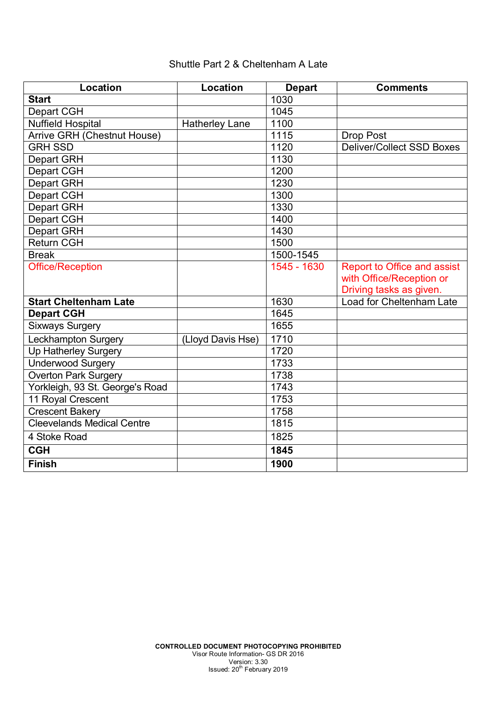## Shuttle Part 2 & Cheltenham A Late

| Location                           | Location              | <b>Depart</b> | <b>Comments</b>                  |
|------------------------------------|-----------------------|---------------|----------------------------------|
| <b>Start</b>                       |                       | 1030          |                                  |
| Depart CGH                         |                       | 1045          |                                  |
| <b>Nuffield Hospital</b>           | <b>Hatherley Lane</b> | 1100          |                                  |
| <b>Arrive GRH (Chestnut House)</b> |                       | 1115          | Drop Post                        |
| <b>GRH SSD</b>                     |                       | 1120          | <b>Deliver/Collect SSD Boxes</b> |
| <b>Depart GRH</b>                  |                       | 1130          |                                  |
| <b>Depart CGH</b>                  |                       | 1200          |                                  |
| <b>Depart GRH</b>                  |                       | 1230          |                                  |
| <b>Depart CGH</b>                  |                       | 1300          |                                  |
| <b>Depart GRH</b>                  |                       | 1330          |                                  |
| Depart CGH                         |                       | 1400          |                                  |
| Depart GRH                         |                       | 1430          |                                  |
| <b>Return CGH</b>                  |                       | 1500          |                                  |
| <b>Break</b>                       |                       | 1500-1545     |                                  |
| <b>Office/Reception</b>            |                       | $1545 - 1630$ | Report to Office and assist      |
|                                    |                       |               | with Office/Reception or         |
|                                    |                       |               | Driving tasks as given.          |
| <b>Start Cheltenham Late</b>       |                       | 1630          | Load for Cheltenham Late         |
| <b>Depart CGH</b>                  |                       | 1645          |                                  |
| <b>Sixways Surgery</b>             |                       | 1655          |                                  |
| Leckhampton Surgery                | (Lloyd Davis Hse)     | 1710          |                                  |
| <b>Up Hatherley Surgery</b>        |                       | 1720          |                                  |
| <b>Underwood Surgery</b>           |                       | 1733          |                                  |
| <b>Overton Park Surgery</b>        |                       | 1738          |                                  |
| Yorkleigh, 93 St. George's Road    |                       | 1743          |                                  |
| 11 Royal Crescent                  |                       | 1753          |                                  |
| <b>Crescent Bakery</b>             |                       | 1758          |                                  |
| <b>Cleevelands Medical Centre</b>  |                       | 1815          |                                  |
| 4 Stoke Road                       |                       | 1825          |                                  |
| $\overline{\text{CGH}}$            |                       | 1845          |                                  |
| <b>Finish</b>                      |                       | 1900          |                                  |